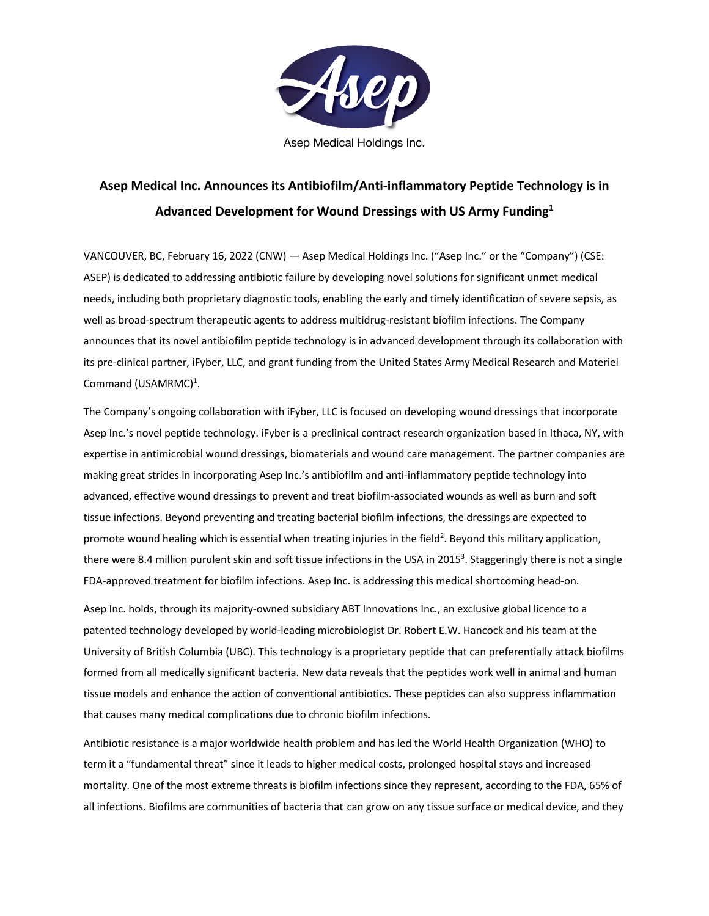

Asep Medical Holdings Inc.

# **Asep Medical Inc. Announces its Antibiofilm/Anti-inflammatory Peptide Technology is in Advanced Development for Wound Dressings with US Army Funding1**

VANCOUVER, BC, February 16, 2022 (CNW) — Asep Medical Holdings Inc. ("Asep Inc." or the "Company") (CSE: ASEP) is dedicated to addressing antibiotic failure by developing novel solutions for significant unmet medical needs, including both proprietary diagnostic tools, enabling the early and timely identification of severe sepsis, as well as broad-spectrum therapeutic agents to address multidrug-resistant biofilm infections. The Company announces that its novel antibiofilm peptide technology is in advanced development through its collaboration with its pre-clinical partner, iFyber, LLC, and grant funding from the United States Army Medical Research and Materiel Command (USAMRMC)<sup>1</sup>.

The Company's ongoing collaboration with iFyber, LLC is focused on developing wound dressings that incorporate Asep Inc.'s novel peptide technology. iFyber is a preclinical contract research organization based in Ithaca, NY, with expertise in antimicrobial wound dressings, biomaterials and wound care management. The partner companies are making great strides in incorporating Asep Inc.'s antibiofilm and anti-inflammatory peptide technology into advanced, effective wound dressings to prevent and treat biofilm-associated wounds as well as burn and soft tissue infections. Beyond preventing and treating bacterial biofilm infections, the dressings are expected to promote wound healing which is essential when treating injuries in the field<sup>2</sup>. Beyond this military application, there were 8.4 million purulent skin and soft tissue infections in the USA in 2015<sup>3</sup>. Staggeringly there is not a single FDA-approved treatment for biofilm infections. Asep Inc. is addressing this medical shortcoming head-on.

Asep Inc. holds, through its majority-owned subsidiary ABT Innovations Inc., an exclusive global licence to a patented technology developed by world-leading microbiologist Dr. Robert E.W. Hancock and his team at the University of British Columbia (UBC). This technology is a proprietary peptide that can preferentially attack biofilms formed from all medically significant bacteria. New data reveals that the peptides work well in animal and human tissue models and enhance the action of conventional antibiotics. These peptides can also suppress inflammation that causes many medical complications due to chronic biofilm infections.

Antibiotic resistance is a major worldwide health problem and has led the World Health Organization (WHO) to term it a "fundamental threat" since it leads to higher medical costs, prolonged hospital stays and increased mortality. One of the most extreme threats is biofilm infections since they represent, according to the FDA, 65% of all infections. Biofilms are communities of bacteria that can grow on any tissue surface or medical device, and they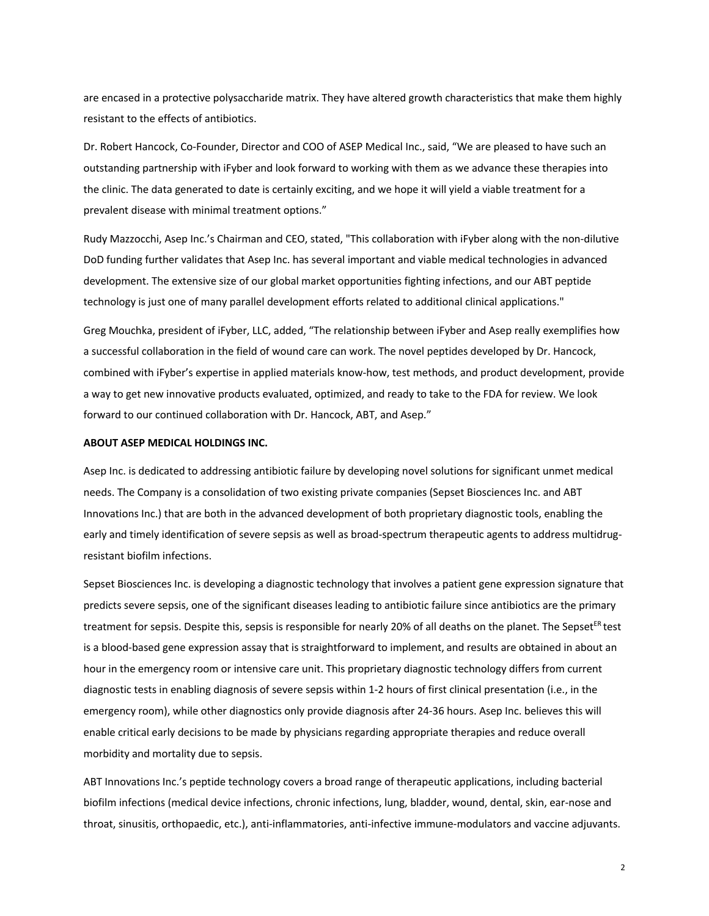are encased in a protective polysaccharide matrix. They have altered growth characteristics that make them highly resistant to the effects of antibiotics.

Dr. Robert Hancock, Co-Founder, Director and COO of ASEP Medical Inc., said, "We are pleased to have such an outstanding partnership with iFyber and look forward to working with them as we advance these therapies into the clinic. The data generated to date is certainly exciting, and we hope it will yield a viable treatment for a prevalent disease with minimal treatment options."

Rudy Mazzocchi, Asep Inc.'s Chairman and CEO, stated, "This collaboration with iFyber along with the non-dilutive DoD funding further validates that Asep Inc. has several important and viable medical technologies in advanced development. The extensive size of our global market opportunities fighting infections, and our ABT peptide technology is just one of many parallel development efforts related to additional clinical applications."

Greg Mouchka, president of iFyber, LLC, added, "The relationship between iFyber and Asep really exemplifies how a successful collaboration in the field of wound care can work. The novel peptides developed by Dr. Hancock, combined with iFyber's expertise in applied materials know-how, test methods, and product development, provide a way to get new innovative products evaluated, optimized, and ready to take to the FDA for review. We look forward to our continued collaboration with Dr. Hancock, ABT, and Asep."

### **ABOUT ASEP MEDICAL HOLDINGS INC.**

Asep Inc. is dedicated to addressing antibiotic failure by developing novel solutions for significant unmet medical needs. The Company is a consolidation of two existing private companies (Sepset Biosciences Inc. and ABT Innovations Inc.) that are both in the advanced development of both proprietary diagnostic tools, enabling the early and timely identification of severe sepsis as well as broad-spectrum therapeutic agents to address multidrugresistant biofilm infections.

Sepset Biosciences Inc. is developing a diagnostic technology that involves a patient gene expression signature that predicts severe sepsis, one of the significant diseases leading to antibiotic failure since antibiotics are the primary treatment for sepsis. Despite this, sepsis is responsible for nearly 20% of all deaths on the planet. The Sepset<sup>ER</sup> test is a blood-based gene expression assay that is straightforward to implement, and results are obtained in about an hour in the emergency room or intensive care unit. This proprietary diagnostic technology differs from current diagnostic tests in enabling diagnosis of severe sepsis within 1-2 hours of first clinical presentation (i.e., in the emergency room), while other diagnostics only provide diagnosis after 24-36 hours. Asep Inc. believes this will enable critical early decisions to be made by physicians regarding appropriate therapies and reduce overall morbidity and mortality due to sepsis.

ABT Innovations Inc.'s peptide technology covers a broad range of therapeutic applications, including bacterial biofilm infections (medical device infections, chronic infections, lung, bladder, wound, dental, skin, ear-nose and throat, sinusitis, orthopaedic, etc.), anti-inflammatories, anti-infective immune-modulators and vaccine adjuvants.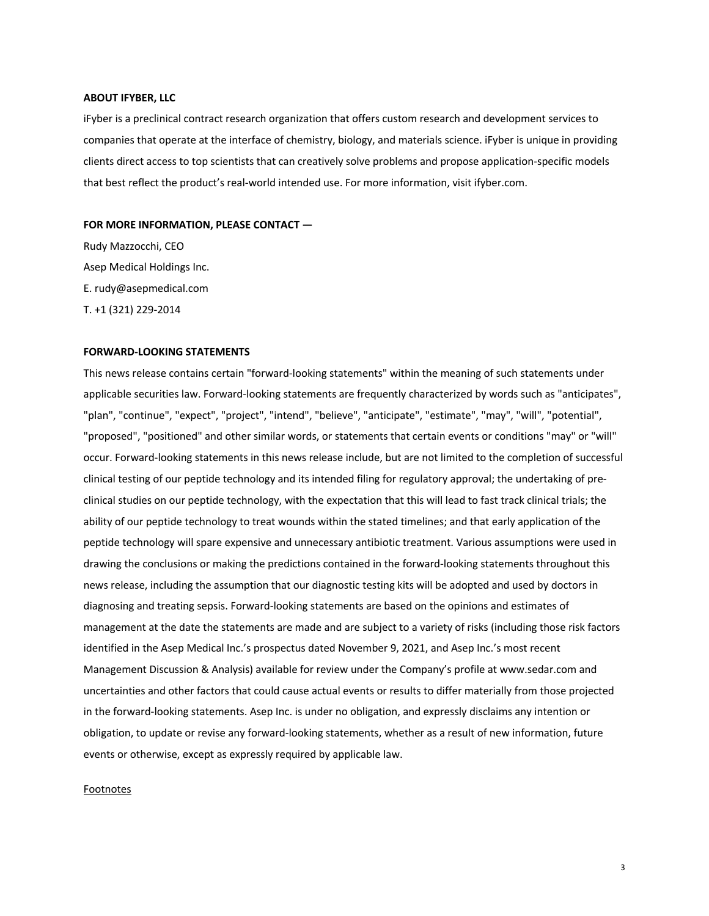#### **ABOUT IFYBER, LLC**

iFyber is a preclinical contract research organization that offers custom research and development services to companies that operate at the interface of chemistry, biology, and materials science. iFyber is unique in providing clients direct access to top scientists that can creatively solve problems and propose application-specific models that best reflect the product's real-world intended use. For more information, visit ifyber.com.

#### **FOR MORE INFORMATION, PLEASE CONTACT —**

Rudy Mazzocchi, CEO Asep Medical Holdings Inc. E. rudy@asepmedical.com T. +1 (321) 229-2014

# **FORWARD-LOOKING STATEMENTS**

This news release contains certain "forward-looking statements" within the meaning of such statements under applicable securities law. Forward-looking statements are frequently characterized by words such as "anticipates", "plan", "continue", "expect", "project", "intend", "believe", "anticipate", "estimate", "may", "will", "potential", "proposed", "positioned" and other similar words, or statements that certain events or conditions "may" or "will" occur. Forward-looking statements in this news release include, but are not limited to the completion of successful clinical testing of our peptide technology and its intended filing for regulatory approval; the undertaking of preclinical studies on our peptide technology, with the expectation that this will lead to fast track clinical trials; the ability of our peptide technology to treat wounds within the stated timelines; and that early application of the peptide technology will spare expensive and unnecessary antibiotic treatment. Various assumptions were used in drawing the conclusions or making the predictions contained in the forward-looking statements throughout this news release, including the assumption that our diagnostic testing kits will be adopted and used by doctors in diagnosing and treating sepsis. Forward-looking statements are based on the opinions and estimates of management at the date the statements are made and are subject to a variety of risks (including those risk factors identified in the Asep Medical Inc.'s prospectus dated November 9, 2021, and Asep Inc.'s most recent Management Discussion & Analysis) available for review under the Company's profile at www.sedar.com and uncertainties and other factors that could cause actual events or results to differ materially from those projected in the forward-looking statements. Asep Inc. is under no obligation, and expressly disclaims any intention or obligation, to update or revise any forward-looking statements, whether as a result of new information, future events or otherwise, except as expressly required by applicable law.

## Footnotes